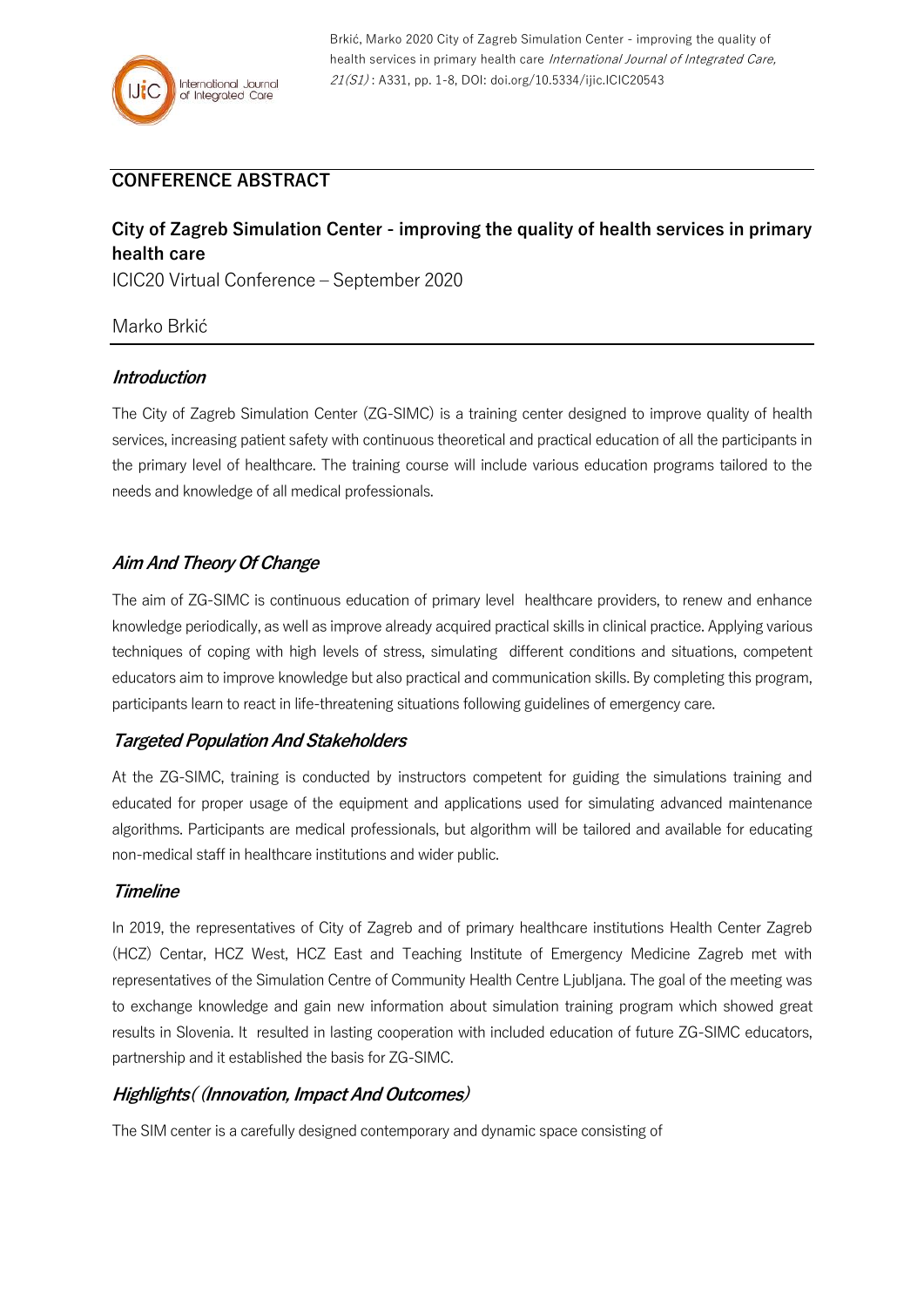

Brkić, Marko 2020 City of Zagreb Simulation Center - improving the quality of health services in primary health care International Journal of Integrated Care, 21(S1) : A331, pp. 1-8, DOI: doi.org/10.5334/ijic.ICIC20543

## **CONFERENCE ABSTRACT**

# **City of Zagreb Simulation Center - improving the quality of health services in primary health care**

ICIC20 Virtual Conference – September 2020

### Marko Brkić

#### **Introduction**

The City of Zagreb Simulation Center (ZG-SIMC) is a training center designed to improve quality of health services, increasing patient safety with continuous theoretical and practical education of all the participants in the primary level of healthcare. The training course will include various education programs tailored to the needs and knowledge of all medical professionals.

## **Aim And Theory Of Change**

The aim of ZG-SIMC is continuous education of primary level healthcare providers, to renew and enhance knowledge periodically, as well as improve already acquired practical skills in clinical practice. Applying various techniques of coping with high levels of stress, simulating different conditions and situations, competent educators aim to improve knowledge but also practical and communication skills. By completing this program, participants learn to react in life-threatening situations following guidelines of emergency care.

### **Targeted Population And Stakeholders**

At the ZG-SIMC, training is conducted by instructors competent for guiding the simulations training and educated for proper usage of the equipment and applications used for simulating advanced maintenance algorithms. Participants are medical professionals, but algorithm will be tailored and available for educating non-medical staff in healthcare institutions and wider public.

#### **Timeline**

In 2019, the representatives of City of Zagreb and of primary healthcare institutions Health Center Zagreb (HCZ) Centar, HCZ West, HCZ East and Teaching Institute of Emergency Medicine Zagreb met with representatives of the Simulation Centre of Community Health Centre Ljubljana. The goal of the meeting was to exchange knowledge and gain new information about simulation training program which showed great results in Slovenia. It resulted in lasting cooperation with included education of future ZG-SIMC educators, partnership and it established the basis for ZG-SIMC.

#### **Highlights( (Innovation, Impact And Outcomes)**

The SIM center is a carefully designed contemporary and dynamic space consisting of